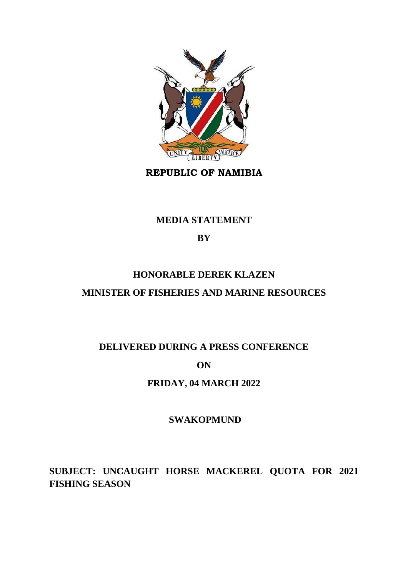

**REPUBLIC OF NAMIBIA**

## **MEDIA STATEMENT**

## **BY**

# **HONORABLE DEREK KLAZEN MINISTER OF FISHERIES AND MARINE RESOURCES**

# **DELIVERED DURING A PRESS CONFERENCE**

## **ON**

## **FRIDAY, 04 MARCH 2022**

## **SWAKOPMUND**

**SUBJECT: UNCAUGHT HORSE MACKEREL QUOTA FOR 2021 FISHING SEASON**